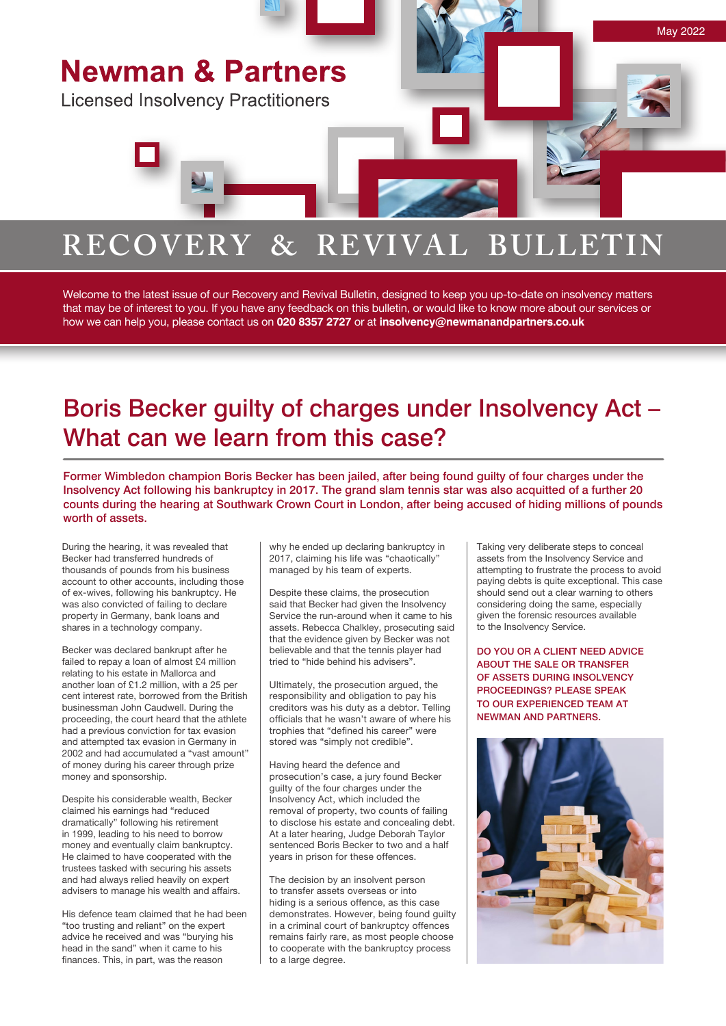

Welcome to the latest issue of our Recovery and Revival Bulletin, designed to keep you up-to-date on insolvency matters that may be of interest to you. If you have any feedback on this bulletin, or would like to know more about our services or how we can help you, please contact us on **020 8357 2727** or at **insolvency@newmanandpartners.co.uk**

# Boris Becker guilty of charges under Insolvency Act – What can we learn from this case?

Former Wimbledon champion Boris Becker has been jailed, after being found guilty of four charges under the Insolvency Act following his bankruptcy in 2017. The grand slam tennis star was also acquitted of a further 20 counts during the hearing at Southwark Crown Court in London, after being accused of hiding millions of pounds worth of assets.

During the hearing, it was revealed that Becker had transferred hundreds of thousands of pounds from his business account to other accounts, including those of ex-wives, following his bankruptcy. He was also convicted of failing to declare property in Germany, bank loans and shares in a technology company.

Becker was declared bankrupt after he failed to repay a loan of almost £4 million relating to his estate in Mallorca and another loan of £1.2 million, with a 25 per cent interest rate, borrowed from the British businessman John Caudwell. During the proceeding, the court heard that the athlete had a previous conviction for tax evasion and attempted tax evasion in Germany in 2002 and had accumulated a "vast amount" of money during his career through prize money and sponsorship.

Despite his considerable wealth, Becker claimed his earnings had "reduced dramatically" following his retirement in 1999, leading to his need to borrow money and eventually claim bankruptcy. He claimed to have cooperated with the trustees tasked with securing his assets and had always relied heavily on expert advisers to manage his wealth and affairs.

His defence team claimed that he had been "too trusting and reliant" on the expert advice he received and was "burying his head in the sand" when it came to his finances. This, in part, was the reason

why he ended up declaring bankruptcy in 2017, claiming his life was "chaotically" managed by his team of experts.

Despite these claims, the prosecution said that Becker had given the Insolvency Service the run-around when it came to his assets. Rebecca Chalkley, prosecuting said that the evidence given by Becker was not believable and that the tennis player had tried to "hide behind his advisers".

Ultimately, the prosecution argued, the responsibility and obligation to pay his creditors was his duty as a debtor. Telling officials that he wasn't aware of where his trophies that "defined his career" were stored was "simply not credible".

Having heard the defence and prosecution's case, a jury found Becker guilty of the four charges under the Insolvency Act, which included the removal of property, two counts of failing to disclose his estate and concealing debt. At a later hearing, Judge Deborah Taylor sentenced Boris Becker to two and a half years in prison for these offences.

The decision by an insolvent person to transfer assets overseas or into hiding is a serious offence, as this case demonstrates. However, being found guilty in a criminal court of bankruptcy offences remains fairly rare, as most people choose to cooperate with the bankruptcy process to a large degree.

Taking very deliberate steps to conceal assets from the Insolvency Service and attempting to frustrate the process to avoid paying debts is quite exceptional. This case should send out a clear warning to others considering doing the same, especially given the forensic resources available to the Insolvency Service.

DO YOU OR A CLIENT NEED ADVICE ABOUT THE SALE OR TRANSFER OF ASSETS DURING INSOLVENCY PROCEEDINGS? PLEASE SPEAK TO OUR EXPERIENCED TEAM AT NEWMAN AND PARTNERS.